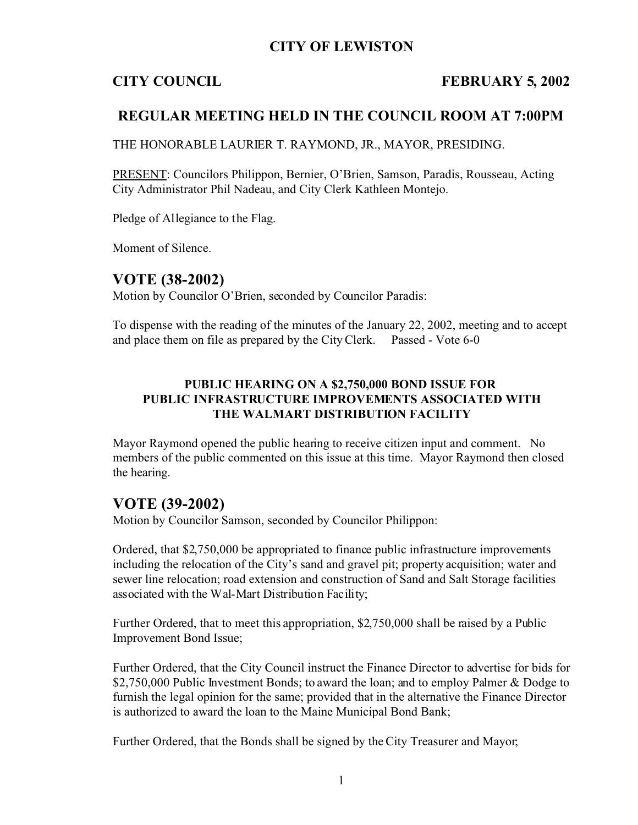# **CITY OF LEWISTON**

## **CITY COUNCIL FEBRUARY 5, 2002**

# **REGULAR MEETING HELD IN THE COUNCIL ROOM AT 7:00PM**

THE HONORABLE LAURIER T. RAYMOND, JR., MAYOR, PRESIDING.

PRESENT: Councilors Philippon, Bernier, O'Brien, Samson, Paradis, Rousseau, Acting City Administrator Phil Nadeau, and City Clerk Kathleen Montejo.

Pledge of Allegiance to the Flag.

Moment of Silence.

# **VOTE (38-2002)**

Motion by Councilor O'Brien, seconded by Councilor Paradis:

To dispense with the reading of the minutes of the January 22, 2002, meeting and to accept and place them on file as prepared by the City Clerk. Passed - Vote 6-0

## **PUBLIC HEARING ON A \$2,750,000 BOND ISSUE FOR PUBLIC INFRASTRUCTURE IMPROVEMENTS ASSOCIATED WITH THE WALMART DISTRIBUTION FACILITY**

Mayor Raymond opened the public hearing to receive citizen input and comment. No members of the public commented on this issue at this time. Mayor Raymond then closed the hearing.

## **VOTE (39-2002)**

Motion by Councilor Samson, seconded by Councilor Philippon:

Ordered, that \$2,750,000 be appropriated to finance public infrastructure improvements including the relocation of the City's sand and gravel pit; property acquisition; water and sewer line relocation; road extension and construction of Sand and Salt Storage facilities associated with the Wal-Mart Distribution Facility;

Further Ordered, that to meet this appropriation, \$2,750,000 shall be raised by a Public Improvement Bond Issue;

Further Ordered, that the City Council instruct the Finance Director to advertise for bids for \$2,750,000 Public Investment Bonds; to award the loan; and to employ Palmer & Dodge to furnish the legal opinion for the same; provided that in the alternative the Finance Director is authorized to award the loan to the Maine Municipal Bond Bank;

Further Ordered, that the Bonds shall be signed by the City Treasurer and Mayor;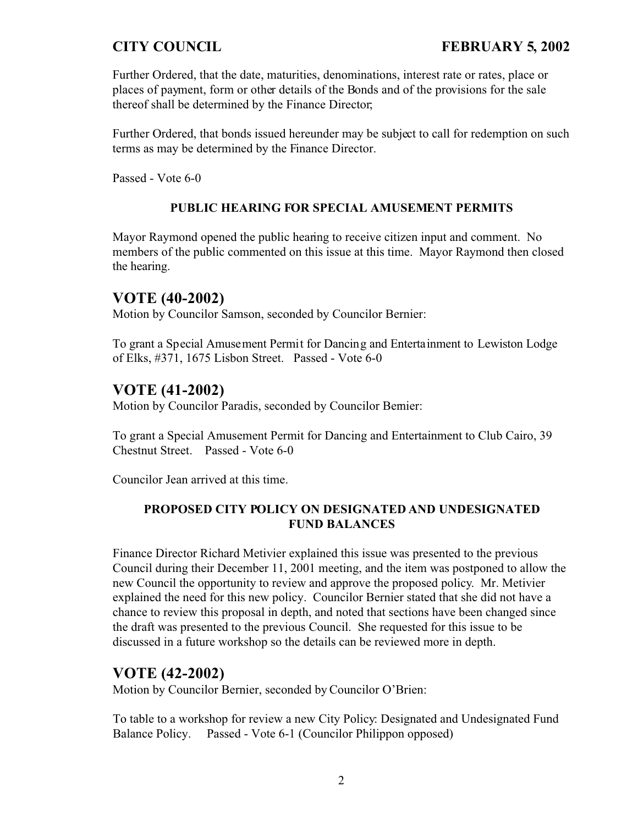Further Ordered, that the date, maturities, denominations, interest rate or rates, place or places of payment, form or other details of the Bonds and of the provisions for the sale thereof shall be determined by the Finance Director;

Further Ordered, that bonds issued hereunder may be subject to call for redemption on such terms as may be determined by the Finance Director.

Passed - Vote 6-0

## **PUBLIC HEARING FOR SPECIAL AMUSEMENT PERMITS**

Mayor Raymond opened the public hearing to receive citizen input and comment. No members of the public commented on this issue at this time. Mayor Raymond then closed the hearing.

## **VOTE (40-2002)**

Motion by Councilor Samson, seconded by Councilor Bernier:

To grant a Special Amusement Permit for Dancing and Entertainment to Lewiston Lodge of Elks, #371, 1675 Lisbon Street. Passed - Vote 6-0

# **VOTE (41-2002)**

Motion by Councilor Paradis, seconded by Councilor Bernier:

To grant a Special Amusement Permit for Dancing and Entertainment to Club Cairo, 39 Chestnut Street. Passed - Vote 6-0

Councilor Jean arrived at this time.

## **PROPOSED CITY POLICY ON DESIGNATED AND UNDESIGNATED FUND BALANCES**

Finance Director Richard Metivier explained this issue was presented to the previous Council during their December 11, 2001 meeting, and the item was postponed to allow the new Council the opportunity to review and approve the proposed policy. Mr. Metivier explained the need for this new policy. Councilor Bernier stated that she did not have a chance to review this proposal in depth, and noted that sections have been changed since the draft was presented to the previous Council. She requested for this issue to be discussed in a future workshop so the details can be reviewed more in depth.

# **VOTE (42-2002)**

Motion by Councilor Bernier, seconded by Councilor O'Brien:

To table to a workshop for review a new City Policy: Designated and Undesignated Fund Balance Policy. Passed - Vote 6-1 (Councilor Philippon opposed)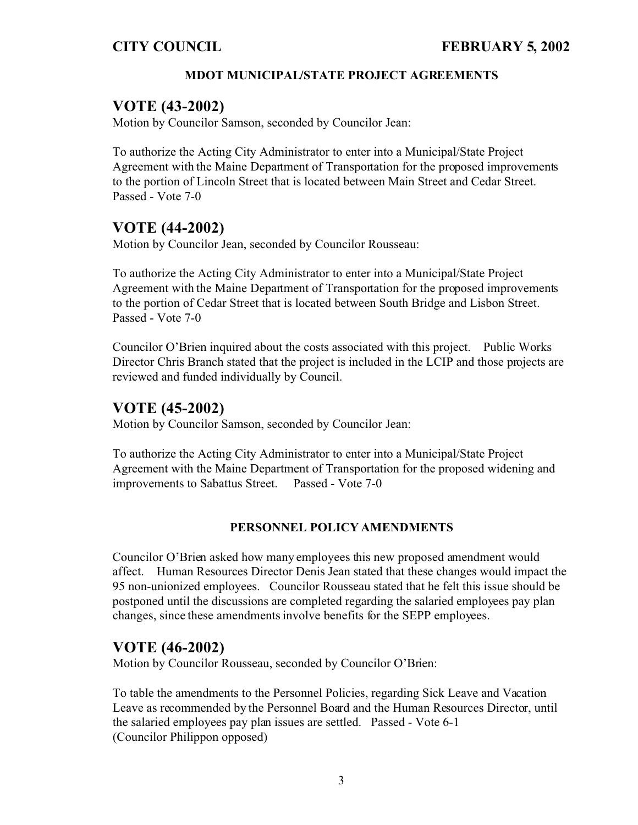## **MDOT MUNICIPAL/STATE PROJECT AGREEMENTS**

## **VOTE (43-2002)**

Motion by Councilor Samson, seconded by Councilor Jean:

To authorize the Acting City Administrator to enter into a Municipal/State Project Agreement with the Maine Department of Transportation for the proposed improvements to the portion of Lincoln Street that is located between Main Street and Cedar Street. Passed - Vote 7-0

# **VOTE (44-2002)**

Motion by Councilor Jean, seconded by Councilor Rousseau:

To authorize the Acting City Administrator to enter into a Municipal/State Project Agreement with the Maine Department of Transportation for the proposed improvements to the portion of Cedar Street that is located between South Bridge and Lisbon Street. Passed - Vote 7-0

Councilor O'Brien inquired about the costs associated with this project. Public Works Director Chris Branch stated that the project is included in the LCIP and those projects are reviewed and funded individually by Council.

# **VOTE (45-2002)**

Motion by Councilor Samson, seconded by Councilor Jean:

To authorize the Acting City Administrator to enter into a Municipal/State Project Agreement with the Maine Department of Transportation for the proposed widening and improvements to Sabattus Street. Passed - Vote 7-0

### **PERSONNEL POLICY AMENDMENTS**

Councilor O'Brien asked how many employees this new proposed amendment would affect. Human Resources Director Denis Jean stated that these changes would impact the 95 non-unionized employees. Councilor Rousseau stated that he felt this issue should be postponed until the discussions are completed regarding the salaried employees pay plan changes, since these amendments involve benefits for the SEPP employees.

## **VOTE (46-2002)**

Motion by Councilor Rousseau, seconded by Councilor O'Brien:

To table the amendments to the Personnel Policies, regarding Sick Leave and Vacation Leave as recommended by the Personnel Board and the Human Resources Director, until the salaried employees pay plan issues are settled. Passed - Vote 6-1 (Councilor Philippon opposed)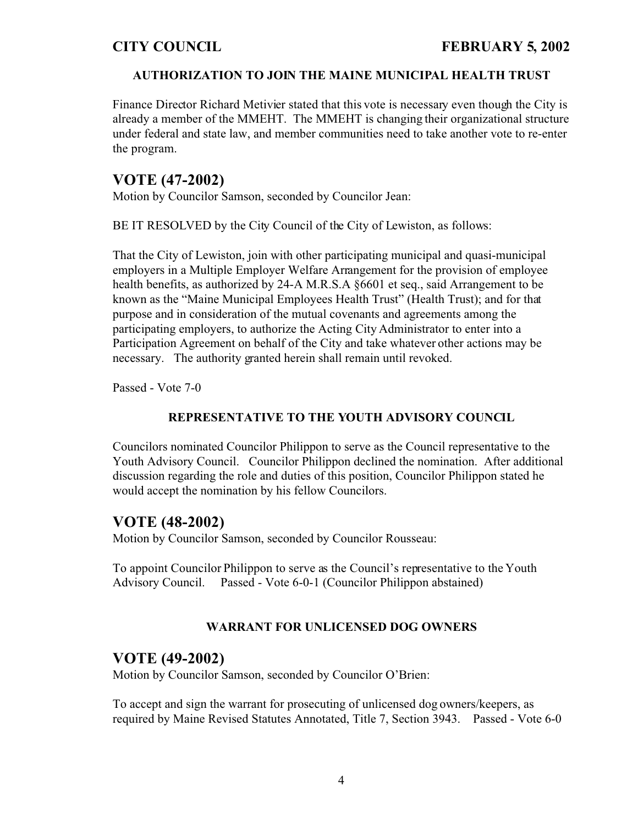### **AUTHORIZATION TO JOIN THE MAINE MUNICIPAL HEALTH TRUST**

Finance Director Richard Metivier stated that this vote is necessary even though the City is already a member of the MMEHT. The MMEHT is changing their organizational structure under federal and state law, and member communities need to take another vote to re-enter the program.

# **VOTE (47-2002)**

Motion by Councilor Samson, seconded by Councilor Jean:

BE IT RESOLVED by the City Council of the City of Lewiston, as follows:

That the City of Lewiston, join with other participating municipal and quasi-municipal employers in a Multiple Employer Welfare Arrangement for the provision of employee health benefits, as authorized by 24-A M.R.S.A §6601 et seq., said Arrangement to be known as the "Maine Municipal Employees Health Trust" (Health Trust); and for that purpose and in consideration of the mutual covenants and agreements among the participating employers, to authorize the Acting City Administrator to enter into a Participation Agreement on behalf of the City and take whatever other actions may be necessary. The authority granted herein shall remain until revoked.

Passed - Vote 7-0

## **REPRESENTATIVE TO THE YOUTH ADVISORY COUNCIL**

Councilors nominated Councilor Philippon to serve as the Council representative to the Youth Advisory Council. Councilor Philippon declined the nomination. After additional discussion regarding the role and duties of this position, Councilor Philippon stated he would accept the nomination by his fellow Councilors.

# **VOTE (48-2002)**

Motion by Councilor Samson, seconded by Councilor Rousseau:

To appoint Councilor Philippon to serve as the Council's representative to the Youth Advisory Council. Passed - Vote 6-0-1 (Councilor Philippon abstained)

## **WARRANT FOR UNLICENSED DOG OWNERS**

## **VOTE (49-2002)**

Motion by Councilor Samson, seconded by Councilor O'Brien:

To accept and sign the warrant for prosecuting of unlicensed dog owners/keepers, as required by Maine Revised Statutes Annotated, Title 7, Section 3943. Passed - Vote 6-0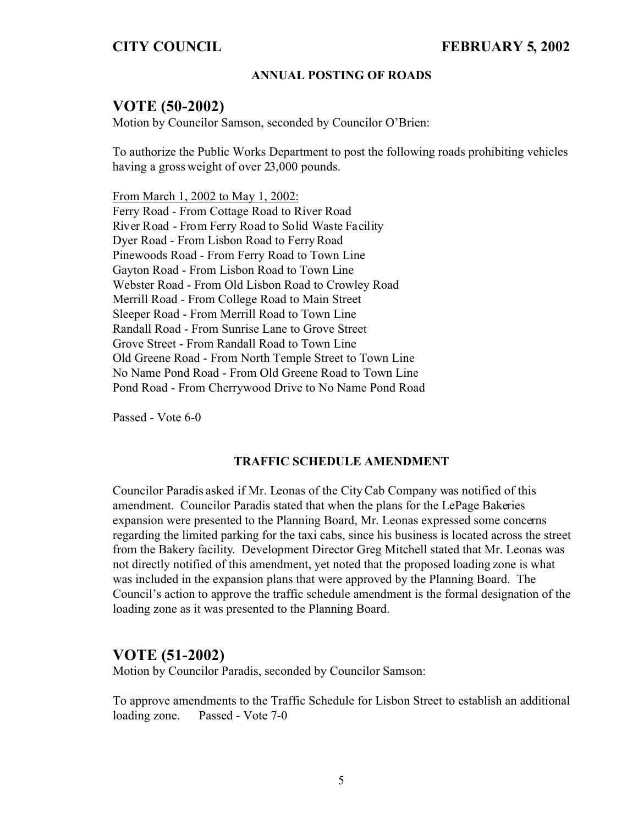### **ANNUAL POSTING OF ROADS**

## **VOTE (50-2002)**

Motion by Councilor Samson, seconded by Councilor O'Brien:

To authorize the Public Works Department to post the following roads prohibiting vehicles having a gross weight of over 23,000 pounds.

From March 1, 2002 to May 1, 2002: Ferry Road - From Cottage Road to River Road River Road - From Ferry Road to Solid Waste Facility Dyer Road - From Lisbon Road to Ferry Road Pinewoods Road - From Ferry Road to Town Line Gayton Road - From Lisbon Road to Town Line Webster Road - From Old Lisbon Road to Crowley Road Merrill Road - From College Road to Main Street Sleeper Road - From Merrill Road to Town Line Randall Road - From Sunrise Lane to Grove Street Grove Street - From Randall Road to Town Line Old Greene Road - From North Temple Street to Town Line No Name Pond Road - From Old Greene Road to Town Line Pond Road - From Cherrywood Drive to No Name Pond Road

Passed - Vote 6-0

#### **TRAFFIC SCHEDULE AMENDMENT**

Councilor Paradis asked if Mr. Leonas of the City Cab Company was notified of this amendment. Councilor Paradis stated that when the plans for the LePage Bakeries expansion were presented to the Planning Board, Mr. Leonas expressed some concerns regarding the limited parking for the taxi cabs, since his business is located across the street from the Bakery facility. Development Director Greg Mitchell stated that Mr. Leonas was not directly notified of this amendment, yet noted that the proposed loading zone is what was included in the expansion plans that were approved by the Planning Board. The Council's action to approve the traffic schedule amendment is the formal designation of the loading zone as it was presented to the Planning Board.

## **VOTE (51-2002)**

Motion by Councilor Paradis, seconded by Councilor Samson:

To approve amendments to the Traffic Schedule for Lisbon Street to establish an additional loading zone. Passed - Vote 7-0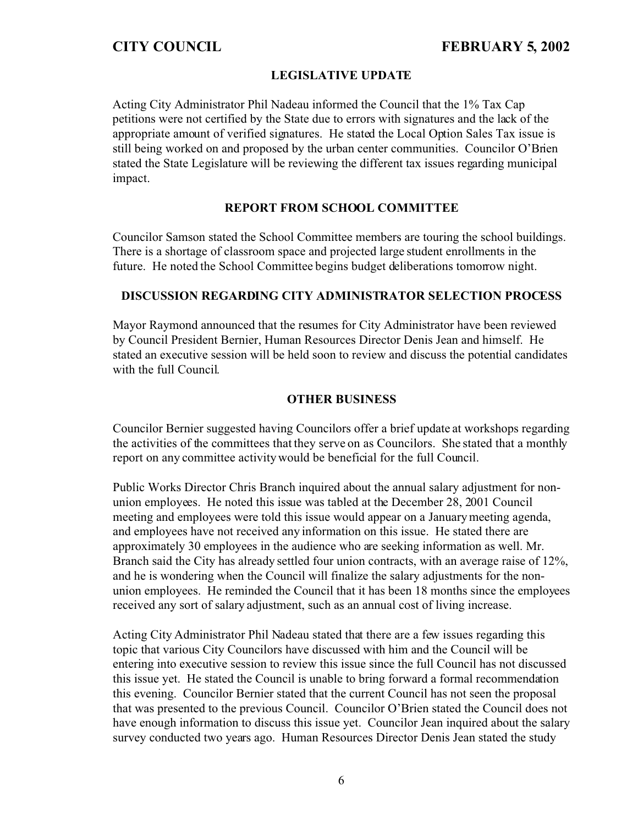### **LEGISLATIVE UPDATE**

Acting City Administrator Phil Nadeau informed the Council that the 1% Tax Cap petitions were not certified by the State due to errors with signatures and the lack of the appropriate amount of verified signatures. He stated the Local Option Sales Tax issue is still being worked on and proposed by the urban center communities. Councilor O'Brien stated the State Legislature will be reviewing the different tax issues regarding municipal impact.

### **REPORT FROM SCHOOL COMMITTEE**

Councilor Samson stated the School Committee members are touring the school buildings. There is a shortage of classroom space and projected large student enrollments in the future. He noted the School Committee begins budget deliberations tomorrow night.

### **DISCUSSION REGARDING CITY ADMINISTRATOR SELECTION PROCESS**

Mayor Raymond announced that the resumes for City Administrator have been reviewed by Council President Bernier, Human Resources Director Denis Jean and himself. He stated an executive session will be held soon to review and discuss the potential candidates with the full Council.

#### **OTHER BUSINESS**

Councilor Bernier suggested having Councilors offer a brief update at workshops regarding the activities of the committees that they serve on as Councilors. She stated that a monthly report on any committee activity would be beneficial for the full Council.

Public Works Director Chris Branch inquired about the annual salary adjustment for nonunion employees. He noted this issue was tabled at the December 28, 2001 Council meeting and employees were told this issue would appear on a January meeting agenda, and employees have not received any information on this issue. He stated there are approximately 30 employees in the audience who are seeking information as well. Mr. Branch said the City has already settled four union contracts, with an average raise of 12%, and he is wondering when the Council will finalize the salary adjustments for the nonunion employees. He reminded the Council that it has been 18 months since the employees received any sort of salary adjustment, such as an annual cost of living increase.

Acting City Administrator Phil Nadeau stated that there are a few issues regarding this topic that various City Councilors have discussed with him and the Council will be entering into executive session to review this issue since the full Council has not discussed this issue yet. He stated the Council is unable to bring forward a formal recommendation this evening. Councilor Bernier stated that the current Council has not seen the proposal that was presented to the previous Council. Councilor O'Brien stated the Council does not have enough information to discuss this issue yet. Councilor Jean inquired about the salary survey conducted two years ago. Human Resources Director Denis Jean stated the study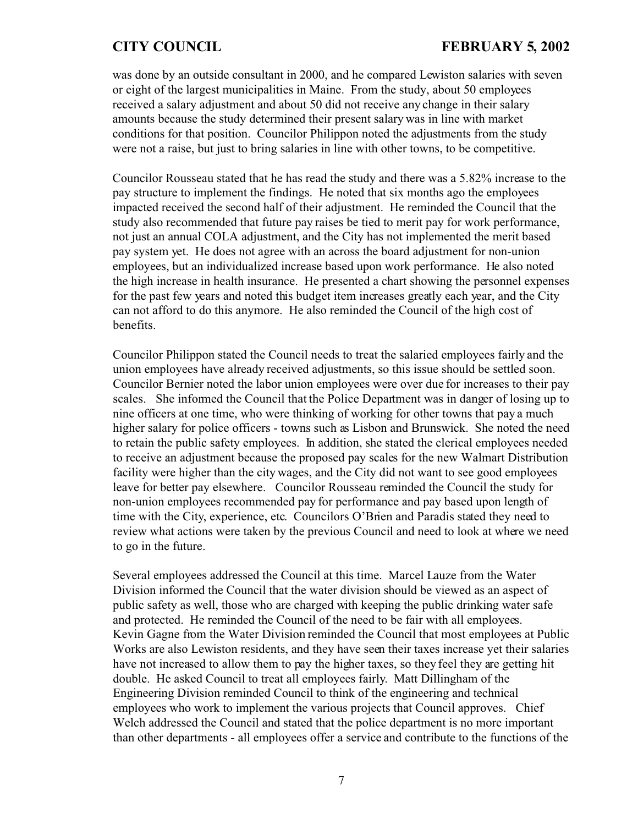was done by an outside consultant in 2000, and he compared Lewiston salaries with seven or eight of the largest municipalities in Maine. From the study, about 50 employees received a salary adjustment and about 50 did not receive any change in their salary amounts because the study determined their present salary was in line with market conditions for that position. Councilor Philippon noted the adjustments from the study were not a raise, but just to bring salaries in line with other towns, to be competitive.

Councilor Rousseau stated that he has read the study and there was a 5.82% increase to the pay structure to implement the findings. He noted that six months ago the employees impacted received the second half of their adjustment. He reminded the Council that the study also recommended that future pay raises be tied to merit pay for work performance, not just an annual COLA adjustment, and the City has not implemented the merit based pay system yet. He does not agree with an across the board adjustment for non-union employees, but an individualized increase based upon work performance. He also noted the high increase in health insurance. He presented a chart showing the personnel expenses for the past few years and noted this budget item increases greatly each year, and the City can not afford to do this anymore. He also reminded the Council of the high cost of benefits.

Councilor Philippon stated the Council needs to treat the salaried employees fairly and the union employees have already received adjustments, so this issue should be settled soon. Councilor Bernier noted the labor union employees were over due for increases to their pay scales. She informed the Council that the Police Department was in danger of losing up to nine officers at one time, who were thinking of working for other towns that pay a much higher salary for police officers - towns such as Lisbon and Brunswick. She noted the need to retain the public safety employees. In addition, she stated the clerical employees needed to receive an adjustment because the proposed pay scales for the new Walmart Distribution facility were higher than the city wages, and the City did not want to see good employees leave for better pay elsewhere. Councilor Rousseau reminded the Council the study for non-union employees recommended pay for performance and pay based upon length of time with the City, experience, etc. Councilors O'Brien and Paradis stated they need to review what actions were taken by the previous Council and need to look at where we need to go in the future.

Several employees addressed the Council at this time. Marcel Lauze from the Water Division informed the Council that the water division should be viewed as an aspect of public safety as well, those who are charged with keeping the public drinking water safe and protected. He reminded the Council of the need to be fair with all employees. Kevin Gagne from the Water Division reminded the Council that most employees at Public Works are also Lewiston residents, and they have seen their taxes increase yet their salaries have not increased to allow them to pay the higher taxes, so they feel they are getting hit double. He asked Council to treat all employees fairly. Matt Dillingham of the Engineering Division reminded Council to think of the engineering and technical employees who work to implement the various projects that Council approves. Chief Welch addressed the Council and stated that the police department is no more important than other departments - all employees offer a service and contribute to the functions of the